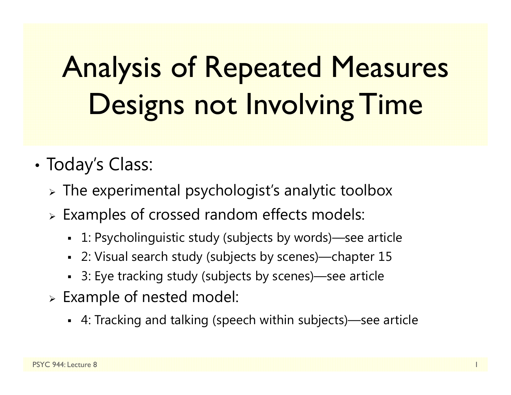# Analysis of Repeated Measures Designs not Involving Time

#### •Today's Class:

- $\triangleright$  The experimental psychologist's analytic toolbox
- Examples of crossed random effects models:
	- 1: Psycholinguistic study (subjects by words)—see article
	- 2: Visual search study (subjects by scenes)—chapter 15
	- 3: Eye tracking study (subjects by scenes)—see article
- $\triangleright$  Example of nested model:
	- 4: Tracking and talking (speech within subjects)—see article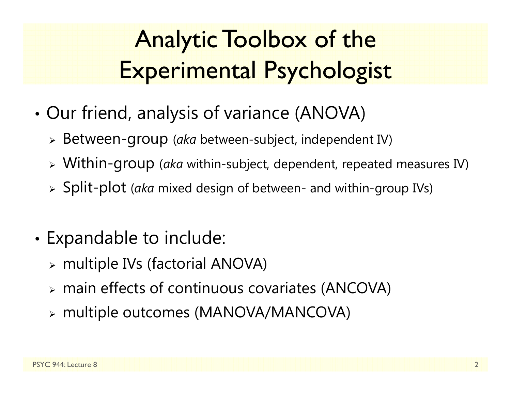#### Analytic Toolbox of the Experimental Psychologist

- • Our friend, analysis of variance (ANOVA)
	- Between-group (*aka* between-subject, independent IV)
	- Within-group (*aka* within-subject, dependent, repeated measures IV)
	- Split-plot (*aka* mixed design of between- and within-group IVs)
- • Expandable to include:
	- multiple IVs (factorial ANOVA)
	- main effects of continuous covariates (ANCOVA)
	- multiple outcomes (MANOVA/MANCOVA)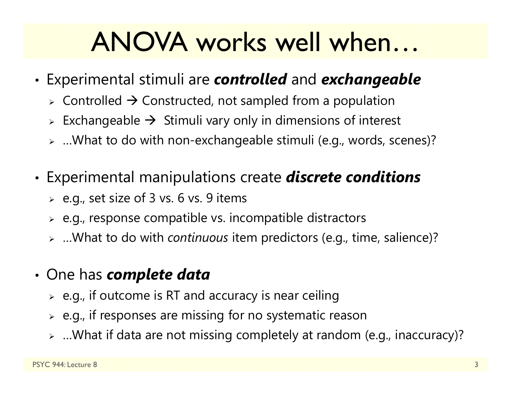#### ANOVA works well when…

- • Experimental stimuli are *controlled* and *exchangeable*
	- $\triangleright$  Controlled  $\rightarrow$  Constructed, not sampled from a population
	- $\triangleright$  Exchangeable  $\rightarrow$  Stimuli vary only in dimensions of interest
	- …What to do with non-exchangeable stimuli (e.g., words, scenes)?
- • Experimental manipulations create *discrete conditions*
	- $\triangleright$  e.g., set size of 3 vs. 6 vs. 9 items
	- $\triangleright$  e.g., response compatible vs. incompatible distractors
	- …What to do with *continuous* item predictors (e.g., time, salience)?
- • One has *complete data*
	- $\triangleright$   $\,$  e.g., if outcome is RT and accuracy is near ceiling
	- $\triangleright$  e.g., if responses are missing for no systematic reason
	- …What if data are not missing completely at random (e.g., inaccuracy)?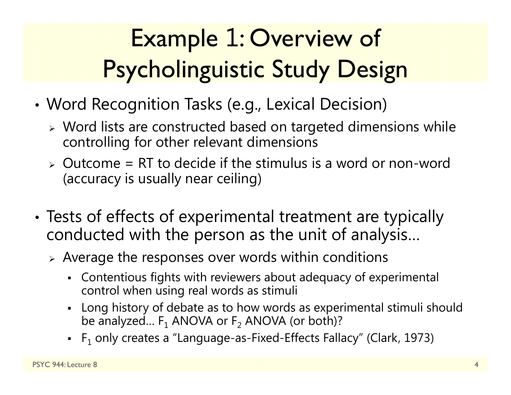### Example 1: Overview of Psycholinguistic Study Design

- • Word Recognition Tasks (e.g., Lexical Decision)
	- Word lists are constructed based on targeted dimensions while controlling for other relevant dimensions
	- $\ge$  Outcome = RT to decide if the stimulus is a word or non-word (accuracy is usually near ceiling)
- • Tests of effects of experimental treatment are typically conducted with the person as the unit of analysis…
	- $\triangleright$  Average the responses over words within conditions
		- Contentious fights with reviewers about adequacy of experimental control when using real words as stimuli
		- Long history of debate as to how words as experimental stimuli should be analyzed…  $\mathsf F_1$  ANOVA or  $\mathsf F_2$  ANOVA (or both)?
		- $\,$  F $_1$  only creates a "Language-as-Fixed-Effects Fallacy" (Clark, 1973)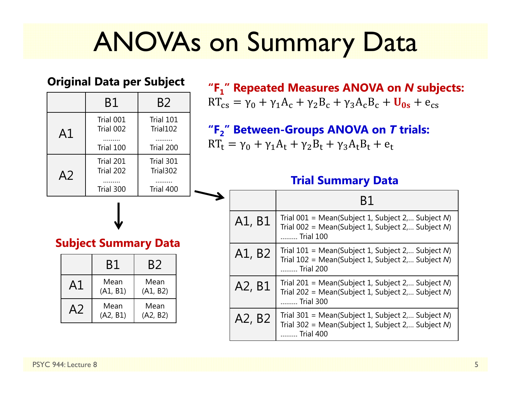### ANOVAs on Summary Data

#### **Original Data per Subject**

|                             |                | Β1                     | B2                    |  |  |  |
|-----------------------------|----------------|------------------------|-----------------------|--|--|--|
| A1                          |                | Trial 001<br>Trial 002 | Trial 101<br>Trial102 |  |  |  |
|                             |                | Trial 100              | Trial 200             |  |  |  |
|                             | A <sub>2</sub> | Trial 201<br>Trial 202 | Trial 301<br>Trial302 |  |  |  |
|                             |                | Trial 300              | Trial 400             |  |  |  |
| <b>Subject Summary Data</b> |                |                        |                       |  |  |  |
|                             |                |                        |                       |  |  |  |
|                             |                | B1                     | B2                    |  |  |  |
|                             | A1             | Mean<br>(A1, B1)       | Mean<br>(A1, B2)      |  |  |  |
|                             |                | Mean<br>(A2, B1)       | Mean<br>(A2, B2)      |  |  |  |

**"F <sup>1</sup>" Repeated Measures ANOVA on**  *N* **subjects:**  $RT_{cs} = \gamma_0 + \gamma_1 A_c + \gamma_2 B_c + \gamma_3 A_c B_c + U_{0s} + e_{cs}$ 

**"F <sup>2</sup>" Between-Groups ANOVA on**  *T* **trials:**  $RT_{t} = \gamma_{0} + \gamma_{1}A_{t} + \gamma_{2}B_{t} + \gamma_{3}A_{t}B_{t} + e_{t}$ 

#### **Trial Summary Data**

|        | B1                                                                                                                      |
|--------|-------------------------------------------------------------------------------------------------------------------------|
| A1, B1 | Trial $001$ = Mean(Subject 1, Subject 2, Subject N)<br>Trial 002 = Mean(Subject 1, Subject 2, Subject N)<br>Trial 100   |
| A1, B2 | Trial $101$ = Mean(Subject 1, Subject 2, Subject N)<br>Trial $102$ = Mean(Subject 1, Subject 2, Subject N)<br>Trial 200 |
| A2, B1 | Trial 201 = Mean(Subject 1, Subject 2, Subject N)<br>Trial 202 = Mean(Subject 1, Subject 2, Subject N)<br>Trial 300     |
| A2, B2 | Trial 301 = Mean(Subject 1, Subject 2, Subject N)<br>Trial 302 = Mean(Subject 1, Subject 2, Subject N)<br>Trial 400     |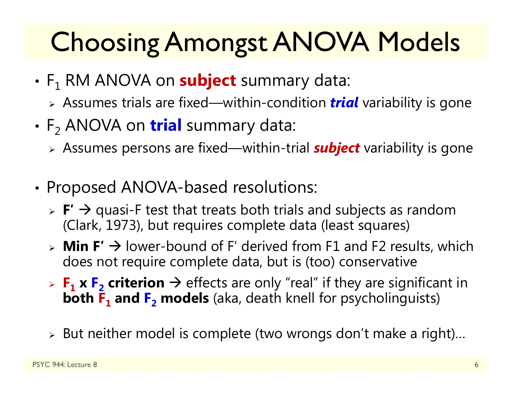## Choosing Amongst ANOVA Models

- F 1 RM ANOVA on **subject** summary data:
	- Assumes trials are fixed—within-condition *trial* variability is gone
- F 2 ANOVA on **trial** summary data:
	- Assumes persons are fixed—within-trial *subject* variability is gone
- • Proposed ANOVA-based resolutions:
	- **► F' → quasi-F test that treats both trials and subjects as random** (Clark, 1973), but requires complete data (least squares)
	- **Min F′** lower-bound of F′ derived from F1 and F2 results, which does not require complete data, but is (too) conservative
	- $\triangleright$  **F**<sub>1</sub> **x** F<sub>2</sub> criterion  $\rightarrow$  effects are only "real" if they are significant in **both F 1 and F 2 models** (aka, death knell for psycholinguists)
	- $\triangleright$  But neither model is complete (two wrongs don't make a right)…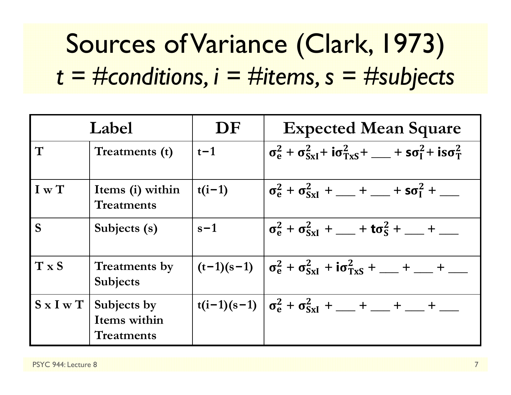## Sources of Variance (Clark, 1973) *t = #conditions, i = #items, s = #subjects*

| Label                 |                                                  | DF       | <b>Expected Mean Square</b>                                                                                                                      |  |
|-----------------------|--------------------------------------------------|----------|--------------------------------------------------------------------------------------------------------------------------------------------------|--|
| T                     | Treatments (t)                                   | $t-1$    | $\sigma_{\rm e}^2 + \sigma_{\rm SxI}^2 + i\sigma_{\rm TxS}^2 + \underline{\hspace{1cm}} + \mathsf{so}_I^2 + i\mathsf{so}_T^2$                    |  |
| I w T                 | Items (i) within<br><b>Treatments</b>            | $t(i-1)$ | $\sigma_{\rm e}^2 + \sigma_{\rm SxI}^2 + \underline{\hspace{1cm}} + \underline{\hspace{1cm}} + \textbf{so}_I^2 + \underline{\hspace{1cm}}$       |  |
| S                     | Subjects (s)                                     | $s-1$    | $\sigma_{\rm e}^2 + \sigma_{\rm SxI}^2 + \underline{\hspace{1cm}} + \textbf{to}_{\rm S}^2 + \underline{\hspace{1cm}} + \underline{\hspace{1cm}}$ |  |
| $T \times S$          | <b>Treatments by</b><br>Subjects                 |          | $(t-1)(s-1)$ $\sigma_e^2 + \sigma_{SxI}^2 + i\sigma_{TxS}^2 + \underline{\hspace{1cm}} + \underline{\hspace{1cm}} + \underline{\hspace{1cm}}$    |  |
| $S \times I \times T$ | Subjects by<br>Items within<br><b>Treatments</b> |          | $t(i-1)(s-1)$ $\sigma_e^2 + \sigma_{SxI}^2 +  +  +  +$                                                                                           |  |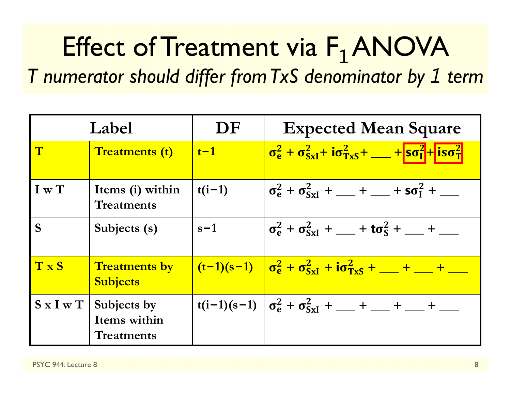#### Effect of Treatment via F  $_1$ ANOVA *T numerator should differ from TxS denominator by 1 term*

| Label              |                                                  | DF                | <b>Expected Mean Square</b>                                                                                                                               |
|--------------------|--------------------------------------------------|-------------------|-----------------------------------------------------------------------------------------------------------------------------------------------------------|
| $\mathbf T$        | <b>Treatments (t)</b>                            | $\vert t-1 \vert$ | $\sigma_{\rm e}^2 + \sigma_{\rm SxI}^2 + i\sigma_{\rm TxS}^2 + \dots +  \rm soI^2  +  i\sigma_{\rm T}^2 $                                                 |
| I w T              | Items (i) within<br><b>Treatments</b>            | $t(i-1)$          | $\sigma_{\rm e}^2 + \sigma_{\rm SxI}^2 + \underline{\hspace{1cm}} + \underline{\hspace{1cm}} + \textbf{so}_I^2 + \underline{\hspace{1cm}}$                |
| S <sub>1</sub>     | Subjects (s)                                     | $s-1$             | $\sigma_{\rm e}^2 + \sigma_{\rm SxI}^2 + \underline{\hspace{1cm}} + \textbf{to}_{\rm S}^2 + \underline{\hspace{1cm}} + \underline{\hspace{1cm}}$          |
| TxS                | <b>Treatments by</b><br><b>Subjects</b>          |                   | $\frac{(t-1)(s-1)}{(s-1)(s-1)}$ $\sigma_e^2 + \sigma_{SxI}^2 + i\sigma_{TxS}^2 + \underline{\qquad} + \underline{\qquad} + \underline{\qquad}$            |
| $S \times I \le T$ | Subjects by<br>Items within<br><b>Treatments</b> |                   | $t(i-1)(s-1)$ $\sigma_e^2 + \sigma_{SxI}^2 + \underline{\hspace{1cm}} + \underline{\hspace{1cm}} + \underline{\hspace{1cm}} + \underline{\hspace{1cm}} +$ |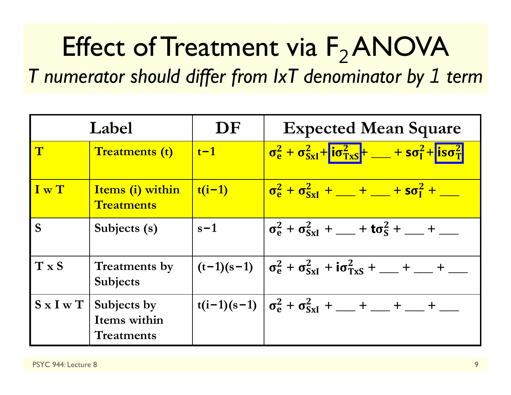#### Effect of Treatment via F <sub>2</sub>ANOVA *T numerator should differ from IxT denominator by 1 term*

| Label              |                                                  | DF                   | <b>Expected Mean Square</b>                                                                                                                      |  |
|--------------------|--------------------------------------------------|----------------------|--------------------------------------------------------------------------------------------------------------------------------------------------|--|
| $\mathbf T$        | <b>Treatments (t)</b>                            | $\vert t-1 \vert$    | $\sigma_{\rm e}^2 + \sigma_{\rm SxI}^2 + i\sigma_{\rm TxS}^2 + \underline{\qquad} + s\sigma_{\rm I}^2 + i s\sigma_{\rm T}^2$                     |  |
| I w T              | Items (i) within<br><b>Treatments</b>            | $\vert t(i-1) \vert$ | $\sigma_{\rm e}^2 + \sigma_{\rm SxI}^2 + \underline{\hspace{1cm}} + \underline{\hspace{1cm}} + \textbf{so}_I^2 + \underline{\hspace{1cm}}$       |  |
| S                  | Subjects (s)                                     | $s-1$                | $\sigma_{\rm e}^2 + \sigma_{\rm SxI}^2 + \underline{\hspace{1cm}} + \textbf{to}_{\rm S}^2 + \underline{\hspace{1cm}} + \underline{\hspace{1cm}}$ |  |
| T x S              | <b>Treatments by</b><br><b>Subjects</b>          |                      | $(t-1)(s-1)$ $\sigma_e^2 + \sigma_{SxI}^2 + i\sigma_{TxS}^2 + \underline{\qquad} + \underline{\qquad} + \underline{\qquad}$                      |  |
| $S \times I \le T$ | Subjects by<br>Items within<br><b>Treatments</b> |                      | $t(i-1)(s-1)$ $\sigma_e^2 + \sigma_{SxI}^2 +  +  +$                                                                                              |  |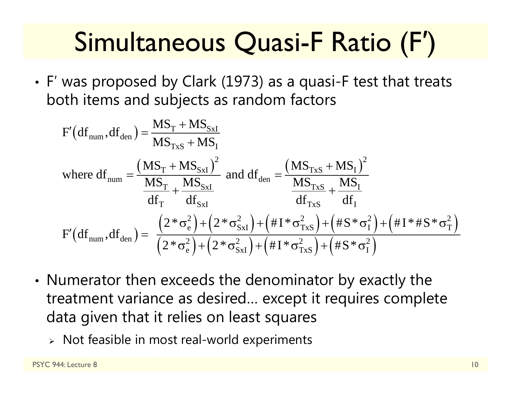#### Simultaneous Quasi-F Ratio (F ′)

• F′ was proposed by Clark (1973) as a quasi-F test that treats both items and subjects as random factors

$$
F'(df_{num}, df_{den}) = \frac{MS_T + MS_{SxI}}{MS_{Txs} + MS_I}
$$
  
where  $df_{num} = \frac{(MS_T + MS_{SxI})^2}{\frac{MS_T}{df_T} + \frac{MS_{SxI}}{df_{SxI}}}$  and  $df_{den} = \frac{(MS_{Txs} + MS_I)^2}{\frac{MS_{Txs}}{df_{Txs}} + \frac{MS_I}{df_I}$   

$$
F'(df_{num}, df_{den}) = \frac{(2 * \sigma_e^2) + (2 * \sigma_{SxI}^2) + (H I * \sigma_{Txs}^2) + (H I * \sigma_I^2) + (H I * H S * \sigma_I^2)}{(2 * \sigma_e^2) + (2 * \sigma_{SxI}^2) + (H I * \sigma_{Txs}^2) + (H S * \sigma_I^2)}
$$

- • Numerator then exceeds the denominator by exactly the treatment variance as desired… except it requires complete data given that it relies on least squares
	- $\triangleright$  Not feasible in most real-world experiments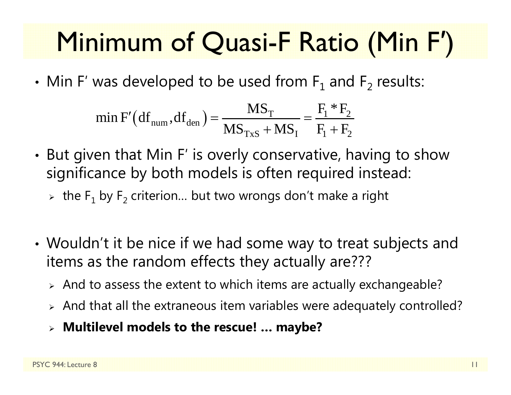#### Minimum of Quasi-F Ratio (Min F ′)

• $\bullet\,$  Min F' was developed to be used from  $\mathsf{F}_1$  and  $\mathsf{F}_2$  results:

min F' (df<sub>num</sub>, df<sub>den</sub>) = 
$$
\frac{MS_T}{MS_{Txs} + MS_I} = \frac{F_1 * F_2}{F_1 + F_2}
$$

- •• But given that Min F' is overly conservative, having to show significance by both models is often required instead:
	- $\triangleright\;$  the  $\mathsf F_1$  by  $\mathsf F_2$  criterion... but two wrongs don't make a right
- • Wouldn't it be nice if we had some way to treat subjects and items as the random effects they actually are???
	- $\triangleright$  And to assess the extent to which items are actually exchangeable?
	- $\triangleright$  And that all the extraneous item variables were adequately controlled?
	- **Multilevel models to the rescue! … maybe?**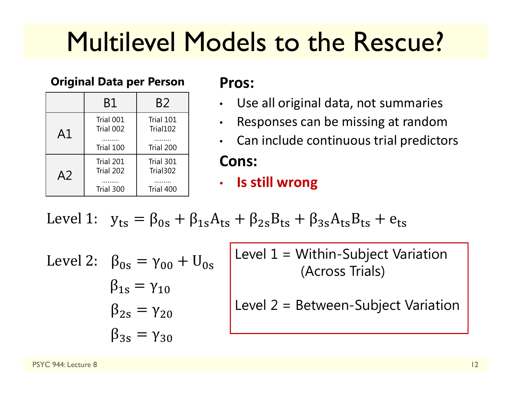### Multilevel Models to the Rescue?

#### **Original Data per Person Pros:**

|                | B1                                  | B <sub>2</sub>                     |
|----------------|-------------------------------------|------------------------------------|
| A1             | Trial 001<br>Trial 002<br>Trial 100 | Trial 101<br>Trial102<br>Trial 200 |
| A <sub>2</sub> | Trial 201<br>Trial 202<br>Trial 300 | Trial 301<br>Trial302<br>Trial 400 |

- •Use all original data, not summaries
- •Responses can be missing at random
- •Can include continuous trial predictors

#### **Cons:**

 $\bullet$ **Is still wrong**

Level 1: 
$$
y_{ts} = \beta_{0s} + \beta_{1s}A_{ts} + \beta_{2s}B_{ts} + \beta_{3s}A_{ts}B_{ts} + e_{ts}
$$

Level 2:  $\,\,\beta_{0{\rm s}}=\gamma_{00}+{\rm U}_{0{\rm s}}$  $\beta_{1s} = \gamma_{10}$  $\beta_{2{\scriptscriptstyle S}}=\gamma_{20}$  $\beta_{3s}=\gamma_{30}$ 

Level 1 = Within-Subject Variation (Across Trials)

Level 2 = Between-Subject Variation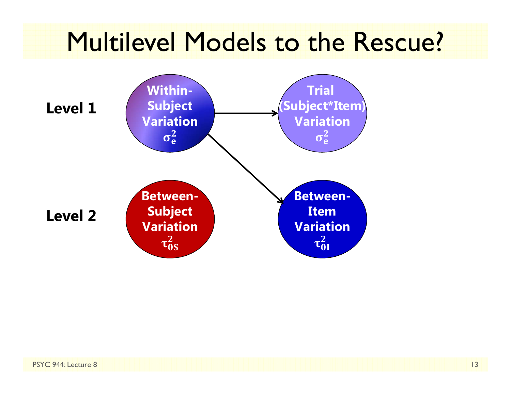#### Multilevel Models to the Rescue?

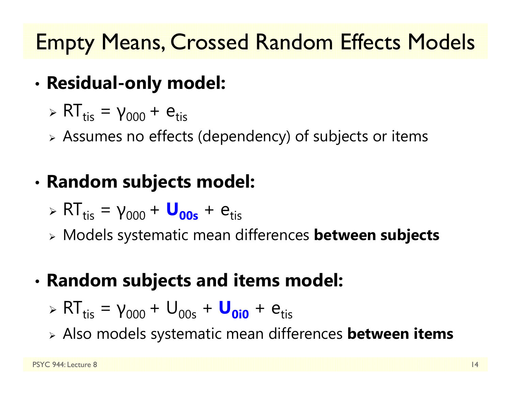#### Empty Means, Crossed Random Effects Models

- • **Residual-only model:**
	- $\triangleright$  RT<sub>tis</sub> = γ<sub>000</sub> +  $e$ <sub>tis</sub>
	- Assumes no effects (dependency) of subjects or items

#### •**Random subjects model:**

- $\triangleright$  RT<sub>tis</sub> = γ<sub>000</sub> + **U<sub>00s</sub>** + e<sub>tis</sub>
- Models systematic mean differences **between subjects**

#### •**Random subjects and items model:**

- $\triangleright$  RT<sub>tis</sub> = γ<sub>000</sub> + U<sub>00s</sub> + U<sub>0i0</sub> + e<sub>tis</sub>
- Also models systematic mean differences **between items**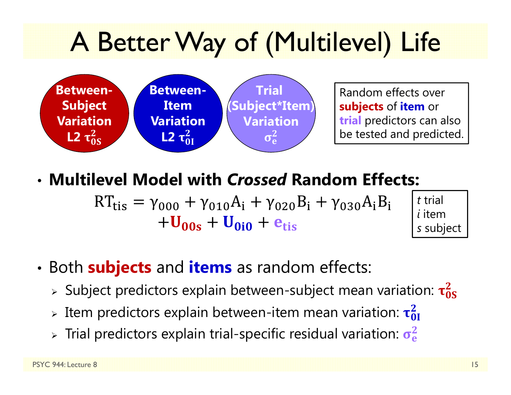## A Better Way of (Multilevel) Life



Random effects over **subjects** of **item** or **trial** predictors can also be tested and predicted.

#### • **Multilevel Model with** *Crossed* **Random Effects:**

୲୧ୱ ଵ ୧ ଶ ୧ ଷ ୧ ୧  $\log \tau$   $\upsilon_{0i0}$   $\tau$   $\upsilon_{tis}$ 



- • Both **subjects** and **items** as random effects:
	- $\triangleright$  Subject predictors explain between-subject mean variation:  $\tau_{0S}^2$  $\bf{2}$
	- $\triangleright$  Item predictors explain between-item mean variation:  $\tau_{0I}^2$  $\bf{z}$
	- $>$  Trial predictors explain trial-specific residual variation:  $\sigma_{\rm e}^2$  $\mathbf 2$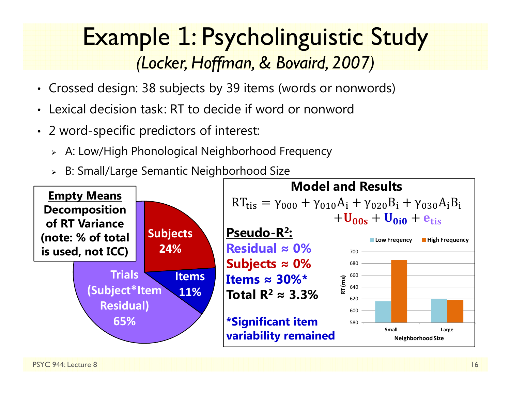#### Example 1: Psycholinguistic Study *(Locker, Hoffman, & Bovaird, 2007)*

- Crossed design: 38 subjects by 39 items (words or nonwords)
- •Lexical decision task: RT to decide if word or nonword
- 2 word-specific predictors of interest:
	- A: Low/High Phonological Neighborhood Frequency
	- B: Small/Large Semantic Neighborhood Size

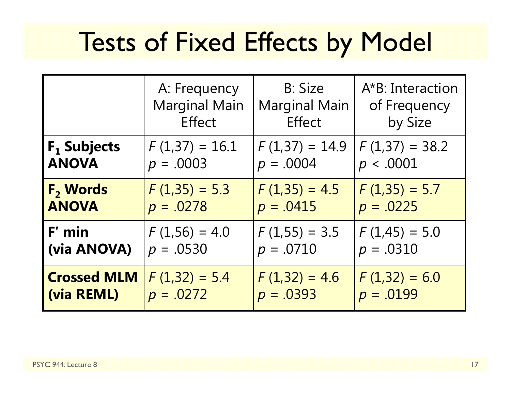### Tests of Fixed Effects by Model

|                            | A: Frequency         | <b>B: Size</b>       | A*B: Interaction |
|----------------------------|----------------------|----------------------|------------------|
|                            | <b>Marginal Main</b> | <b>Marginal Main</b> | of Frequency     |
|                            | <b>Effect</b>        | <b>Effect</b>        | by Size          |
| $F_1$ Subjects             | $F(1,37) = 16.1$     | $F(1,37) = 14.9$     | $F(1,37) = 38.2$ |
| <b>ANOVA</b>               | $p = .0003$          | $p = .0004$          | p < .0001        |
| <b>F<sub>2</sub> Words</b> | $F(1,35) = 5.3$      | $F(1,35) = 4.5$      | $F(1,35) = 5.7$  |
| <b>ANOVA</b>               | $p = .0278$          | $p = .0415$          | $p = .0225$      |
| $F'$ min                   | $F(1,56) = 4.0$      | $F(1,55) = 3.5$      | $F(1,45) = 5.0$  |
| (via ANOVA)                | $p = .0530$          | $p = .0710$          | $p = .0310$      |
| <b>Crossed MLM</b>         | $F(1,32) = 5.4$      | $F(1,32) = 4.6$      | $F(1,32) = 6.0$  |
| (via REML)                 | $p = .0272$          | $p = .0393$          | $p = .0199$      |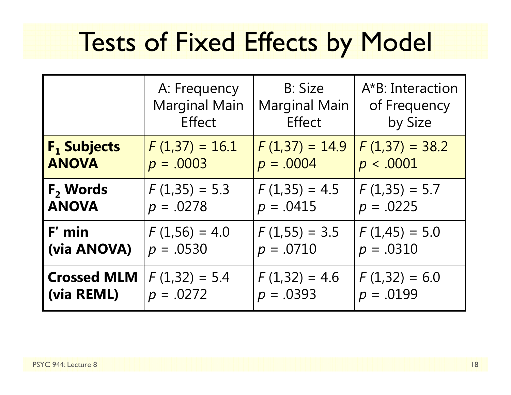### Tests of Fixed Effects by Model

|                               | A: Frequency         | <b>B: Size</b>       | A*B: Interaction |  |
|-------------------------------|----------------------|----------------------|------------------|--|
|                               | <b>Marginal Main</b> | <b>Marginal Main</b> | of Frequency     |  |
|                               | <b>Effect</b>        | Effect               | by Size          |  |
| <b>F<sub>1</sub> Subjects</b> | $F(1,37) = 16.1$     | $F(1,37) = 14.9$     | $F(1,37) = 38.2$ |  |
| <b>ANOVA</b>                  | $p = .0003$          | $p = .0004$          | p < .0001        |  |
| $F2$ Words                    | $F(1,35) = 5.3$      | $F(1,35) = 4.5$      | $F(1,35) = 5.7$  |  |
| <b>ANOVA</b>                  | $p = .0278$          | $p = .0415$          | $p = .0225$      |  |
| F' min                        | $F(1,56) = 4.0$      | $F(1,55) = 3.5$      | $F(1,45) = 5.0$  |  |
| (via ANOVA)                   | $p = .0530$          | $p = .0710$          | $p = .0310$      |  |
| <b>Crossed MLM</b>            | $F(1,32) = 5.4$      | $F(1,32) = 4.6$      | $F(1,32) = 6.0$  |  |
| (via REML)                    | $p = .0272$          | $p = .0393$          | $p = .0199$      |  |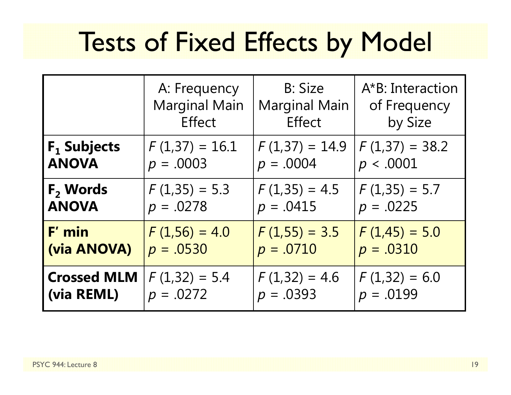### Tests of Fixed Effects by Model

|                    | <b>B: Size</b><br>A: Frequency<br><b>Marginal Main</b><br><b>Marginal Main</b><br><b>Effect</b><br>Effect |                  | A*B: Interaction<br>of Frequency<br>by Size |
|--------------------|-----------------------------------------------------------------------------------------------------------|------------------|---------------------------------------------|
| $F_1$ Subjects     | $F(1,37) = 16.1$                                                                                          | $F(1,37) = 14.9$ | $F(1,37) = 38.2$                            |
| <b>ANOVA</b>       | $p = .0003$                                                                                               | $p = .0004$      | p < .0001                                   |
| $F2$ Words         | $F(1,35) = 5.3$                                                                                           | $F(1,35) = 4.5$  | $F(1,35) = 5.7$                             |
| <b>ANOVA</b>       | $p = .0278$                                                                                               | $p = .0415$      | $p = .0225$                                 |
| F' min             | $F(1,56) = 4.0$                                                                                           | $F(1,55) = 3.5$  | $F(1,45) = 5.0$                             |
| (via ANOVA)        | $p = .0530$                                                                                               | $p = .0710$      | $p = .0310$                                 |
| <b>Crossed MLM</b> | $F(1,32) = 5.4$                                                                                           | $F(1,32) = 4.6$  | $F(1,32) = 6.0$                             |
| (via REML)         | $p = .0272$                                                                                               | $p = .0393$      | $p = .0199$                                 |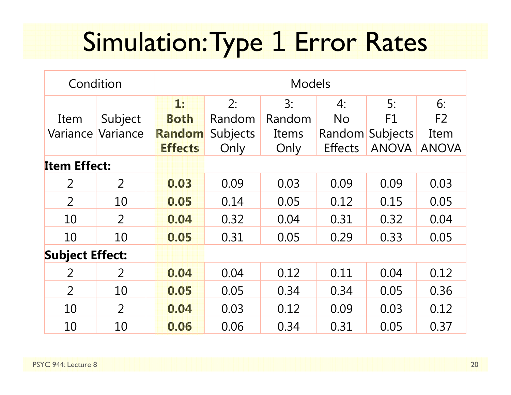## Simulation: Type 1 Error Rates

| Condition              |                | <b>Models</b> |                |          |        |                |                 |                |
|------------------------|----------------|---------------|----------------|----------|--------|----------------|-----------------|----------------|
|                        |                |               | 1:             | 2:       | 3:     | 4:             | 5:              | 6:             |
| Item                   | Subject        |               | <b>Both</b>    | Random   | Random | <b>No</b>      | F1              | F <sub>2</sub> |
| Variance               | Variance       |               | Random         | Subjects | Items  | Random         | <b>Subjects</b> | Item           |
|                        |                |               | <b>Effects</b> | Only     | Only   | <b>Effects</b> | <b>ANOVA</b>    | <b>ANOVA</b>   |
| <b>Item Effect:</b>    |                |               |                |          |        |                |                 |                |
| $\overline{2}$         | $\overline{2}$ |               | 0.03           | 0.09     | 0.03   | 0.09           | 0.09            | 0.03           |
| $\overline{2}$         | 10             |               | 0.05           | 0.14     | 0.05   | 0.12           | 0.15            | 0.05           |
| 10                     | 2              |               | 0.04           | 0.32     | 0.04   | 0.31           | 0.32            | 0.04           |
| 10                     | 10             |               | 0.05           | 0.31     | 0.05   | 0.29           | 0.33            | 0.05           |
| <b>Subject Effect:</b> |                |               |                |          |        |                |                 |                |
| $\overline{2}$         | $\overline{2}$ |               | 0.04           | 0.04     | 0.12   | 0.11           | 0.04            | 0.12           |
| $\overline{2}$         | 10             |               | 0.05           | 0.05     | 0.34   | 0.34           | 0.05            | 0.36           |
| 10                     | 2              |               | 0.04           | 0.03     | 0.12   | 0.09           | 0.03            | 0.12           |
| 10                     | 10             |               | 0.06           | 0.06     | 0.34   | 0.31           | 0.05            | 0.37           |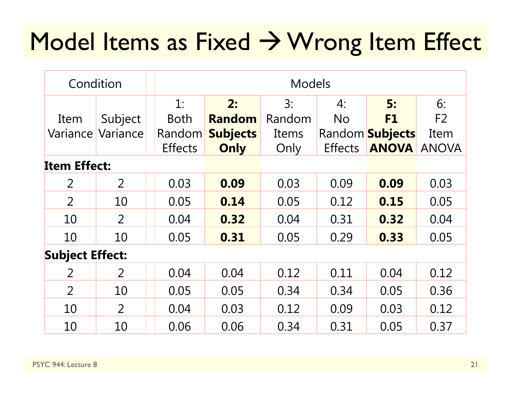#### Model Items as Fixed  $\rightarrow$  Wrong Item Effect

| Condition              |                |                | <b>Models</b>   |        |                |                        |                |
|------------------------|----------------|----------------|-----------------|--------|----------------|------------------------|----------------|
|                        |                | 1:             | 2:              | 3:     | 4:             | 5:                     | 6:             |
| Item                   | Subject        | <b>Both</b>    | <b>Random</b>   | Random | <b>No</b>      | F1                     | F <sub>2</sub> |
| Variance               | Variance       | Random         | <b>Subjects</b> | Items  |                | Random <b>Subjects</b> | Item           |
|                        |                | <b>Effects</b> | Only            | Only   | <b>Effects</b> | <b>ANOVA</b>           | <b>ANOVA</b>   |
| <b>Item Effect:</b>    |                |                |                 |        |                |                        |                |
| 2                      | $\overline{2}$ | 0.03           | 0.09            | 0.03   | 0.09           | 0.09                   | 0.03           |
| $\overline{2}$         | 10             | 0.05           | 0.14            | 0.05   | 0.12           | 0.15                   | 0.05           |
| 10                     | $\overline{2}$ | 0.04           | 0.32            | 0.04   | 0.31           | 0.32                   | 0.04           |
| 10                     | 10             | 0.05           | 0.31            | 0.05   | 0.29           | 0.33                   | 0.05           |
| <b>Subject Effect:</b> |                |                |                 |        |                |                        |                |
| 2                      | $\overline{2}$ | 0.04           | 0.04            | 0.12   | 0.11           | 0.04                   | 0.12           |
| $\overline{2}$         | 10             | 0.05           | 0.05            | 0.34   | 0.34           | 0.05                   | 0.36           |
| 10                     | $\overline{2}$ | 0.04           | 0.03            | 0.12   | 0.09           | 0.03                   | 0.12           |
| 10                     | 10             | 0.06           | 0.06            | 0.34   | 0.31           | 0.05                   | 0.37           |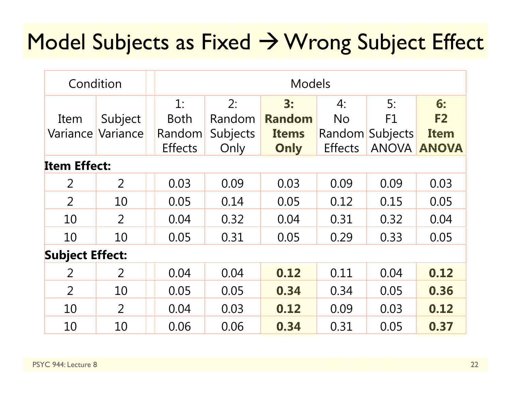#### Model Subjects as Fixed  $\rightarrow$  Wrong Subject Effect

| Condition              |                |                | <b>Models</b> |               |                |                 |              |  |  |
|------------------------|----------------|----------------|---------------|---------------|----------------|-----------------|--------------|--|--|
|                        |                | 1:             | 2:            | 3:            | 4:             | 5:              | 6:           |  |  |
| Item                   | Subject        | <b>Both</b>    | Random        | <b>Random</b> | <b>No</b>      | F1              | F2           |  |  |
| Variance               | Variance       | Random         | Subjects      | <b>Items</b>  | Random         | <b>Subjects</b> | <b>Item</b>  |  |  |
|                        |                | <b>Effects</b> | Only          | Only          | <b>Effects</b> | <b>ANOVA</b>    | <b>ANOVA</b> |  |  |
| <b>Item Effect:</b>    |                |                |               |               |                |                 |              |  |  |
| $\overline{2}$         | $\overline{2}$ | 0.03           | 0.09          | 0.03          | 0.09           | 0.09            | 0.03         |  |  |
| 2                      | 10             | 0.05           | 0.14          | 0.05          | 0.12           | 0.15            | 0.05         |  |  |
| 10                     | 2              | 0.04           | 0.32          | 0.04          | 0.31           | 0.32            | 0.04         |  |  |
| 10                     | 10             | 0.05           | 0.31          | 0.05          | 0.29           | 0.33            | 0.05         |  |  |
| <b>Subject Effect:</b> |                |                |               |               |                |                 |              |  |  |
| $\overline{2}$         | $\overline{2}$ | 0.04           | 0.04          | 0.12          | 0.11           | 0.04            | 0.12         |  |  |
| $\overline{2}$         | 10             | 0.05           | 0.05          | 0.34          | 0.34           | 0.05            | 0.36         |  |  |
| 10                     | $\overline{2}$ | 0.04           | 0.03          | 0.12          | 0.09           | 0.03            | 0.12         |  |  |
| 10                     | 10             | 0.06           | 0.06          | 0.34          | 0.31           | 0.05            | 0.37         |  |  |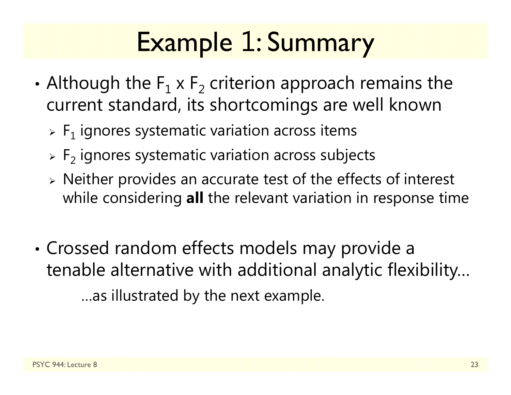## Example 1: Summary

- •• Although the  $\mathsf{F}_1$  x  $\mathsf{F}_2$  criterion approach remains the current standard, its shortcomings are well known
	- $\triangleright$   $\mathsf{F}_1$  ignores systematic variation across items
	- $\triangleright$  F<sub>2</sub> ignores systematic variation across subjects
	- $\triangleright$  Neither provides an accurate test of the effects of interest while considering **all** the relevant variation in response time
- • Crossed random effects models may provide a tenable alternative with additional analytic flexibility… …as illustrated by the next example.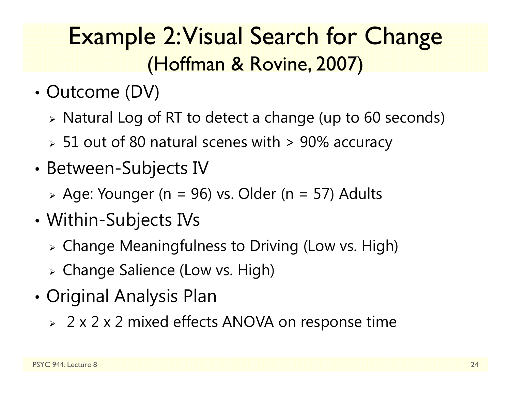#### Example 2: Visual Search for Change (Hoffman & Rovine, 2007)

- •• Outcome (DV)
	- $\triangleright$  Natural Log of RT to detect a change (up to 60 seconds)
	- $\, \triangleright \,$  51 out of 80 natural scenes with  $\, \geq \, 90\%$  accuracy
- •• Between-Subjects IV
	- Age: Younger (n = 96) vs. Older (n = 57) Adults
- • Within-Subjects IVs
	- Change Meaningfulness to Driving (Low vs. High)
	- Change Salience (Low vs. High)
- • Original Analysis Plan
	- 2 x 2 x 2 mixed effects ANOVA on response time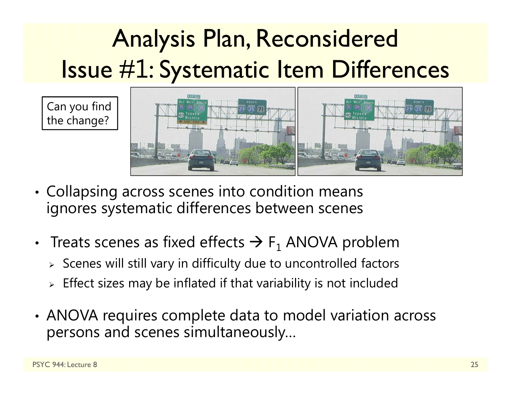#### Analysis Plan, Reconsidered Issue # 1: Systematic Item Differences

Can you find the change?



- •• Collapsing across scenes into condition means ignores systematic differences between scenes
- Treats scenes as fixed effects  $\Rightarrow$  F<sub>1</sub> ANOVA problem
	- $\triangleright$  Scenes will still vary in difficulty due to uncontrolled factors
	- $\triangleright$  Effect sizes may be inflated if that variability is not included
- • ANOVA requires complete data to model variation across persons and scenes simultaneously…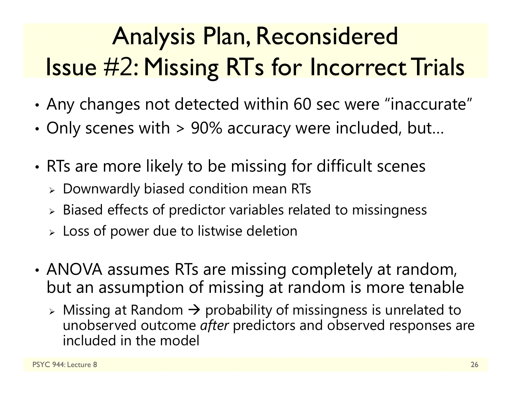#### Analysis Plan, Reconsidered Issue # 2: Missing RTs for Incorrect Trials

- •Any changes not detected within 60 sec were "inaccurate"
- • $\bm{\cdot}$  Only scenes with > 90% accuracy were included, but...
- • RTs are more likely to be missing for difficult scenes
	- $\triangleright$  Downwardly biased condition mean RTs
	- $\triangleright$  Biased effects of predictor variables related to missingness
	- $\triangleright\,$  Loss of power due to listwise deletion
- • ANOVA assumes RTs are missing completely at random, but an assumption of missing at random is more tenable
	- $\triangleright$  Missing at Random  $\rightarrow$  probability of missingness is unrelated to unobserved outcome *after* predictors and observed responses are included in the model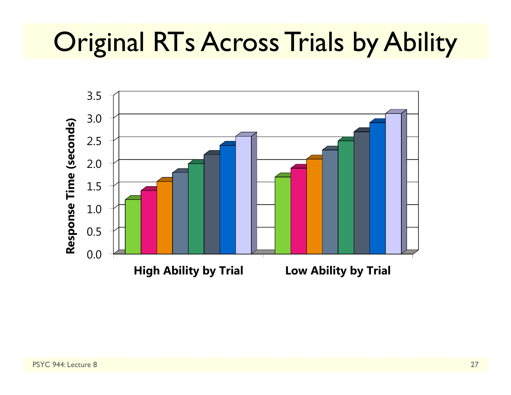### **Original RTs Across Trials by Ability**

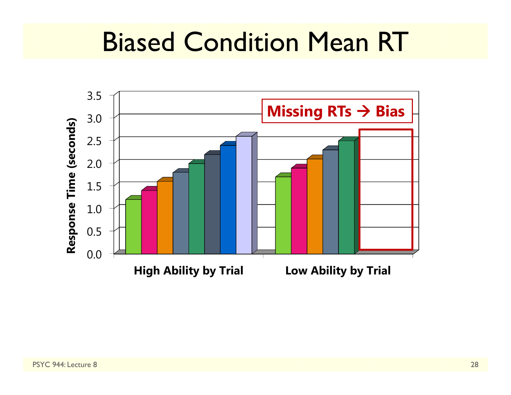#### Biased Condition Mean RT

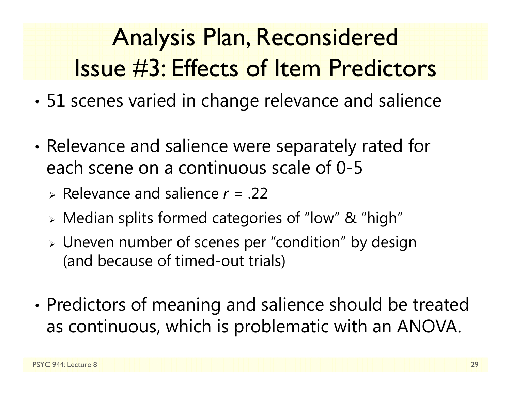#### Analysis Plan, Reconsidered Issue #3: Effects of Item Predictors

- •51 scenes varied in change relevance and salience
- • Relevance and salience were separately rated for each scene on a continuous scale of 0-5
	- Relevance and salience *r* = .22
	- Median splits formed categories of "low" & "high"
	- Uneven number of scenes per "condition" by design (and because of timed-out trials)
- • Predictors of meaning and salience should be treated as continuous, which is problematic with an ANOVA.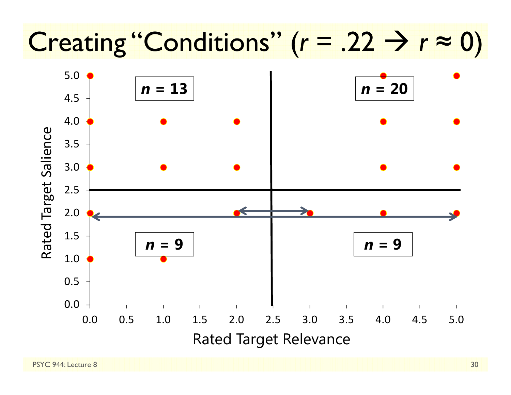## Creating "Conditions"  $(r = .22 \rightarrow r \approx 0)$

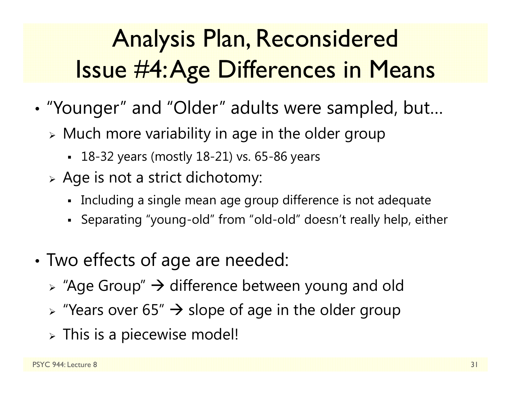#### Analysis Plan, Reconsidered Issue #4: Age Differences in Means

- • "Younger" and "Older" adults were sampled, but…
	- $\triangleright$  Much more variability in age in the older group
		- 18-32 years (mostly 18-21) vs. 65-86 years
	- $\triangleright$  Age is not a strict dichotomy:
		- Including a single mean age group difference is not adequate
		- Separating "young-old" from "old-old" doesn't really help, either
- • Two effects of age are needed:
	- $\triangleright$  "Age Group"  $\rightarrow$  difference between young and old
	- $\triangleright$  "Years over 65"  $\rightarrow$  slope of age in the older group
	- $\triangleright$  This is a piecewise model!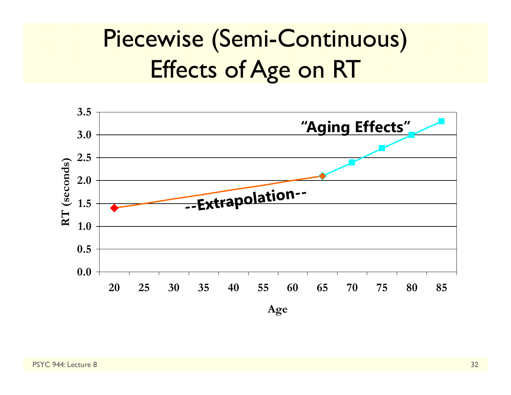#### Piecewise (Semi-Continuous) Effects of Age on RT

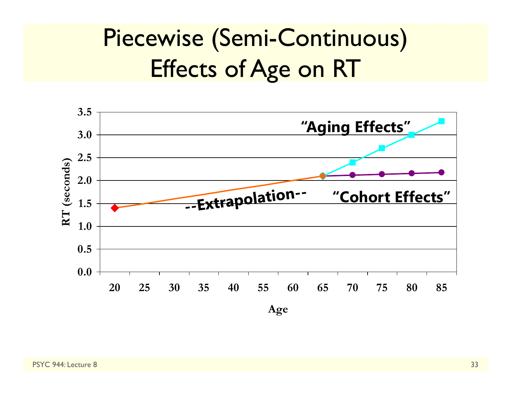#### Piecewise (Semi-Continuous) Effects of Age on RT

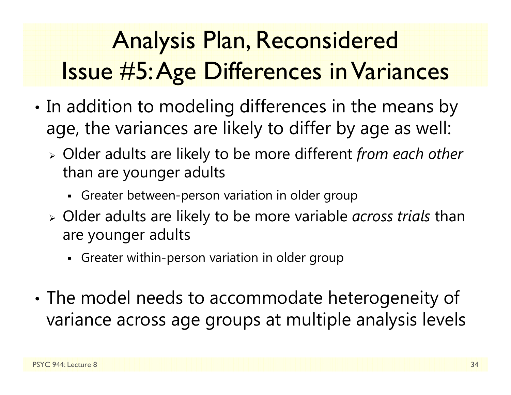#### Analysis Plan, Reconsidered Issue #5: Age Differences in Variances

- • $\bm{\cdot}$  In addition to modeling differences in the means by age, the variances are likely to differ by age as well:
	- Older adults are likely to be more different *from each other*  than are younger adults
		- Greater between-person variation in older group
	- Older adults are likely to be more variable *across trials* than are younger adults
		- Greater within-person variation in older group
- • The model needs to accommodate heterogeneity of variance across age groups at multiple analysis levels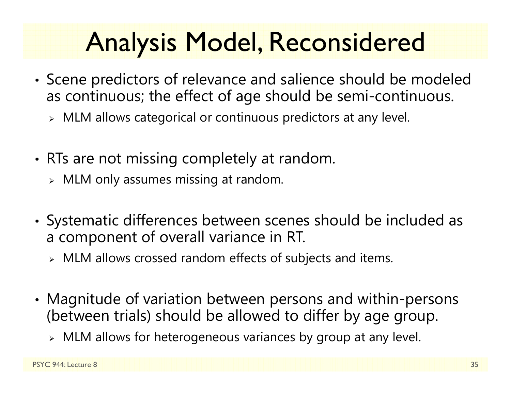## Analysis Model, Reconsidered

- • Scene predictors of relevance and salience should be modeled as continuous; the effect of age should be semi-continuous.
	- $\triangleright$  MLM allows categorical or continuous predictors at any level.
- •• RTs are not missing completely at random.
	- $\triangleright$   $\,$  MLM only assumes missing at random.
- • Systematic differences between scenes should be included as a component of overall variance in RT.
	- $\triangleright$  MLM allows crossed random effects of subjects and items.
- • Magnitude of variation between persons and within-persons (between trials) should be allowed to differ by age group.
	- $\triangleright$  MLM allows for heterogeneous variances by group at any level.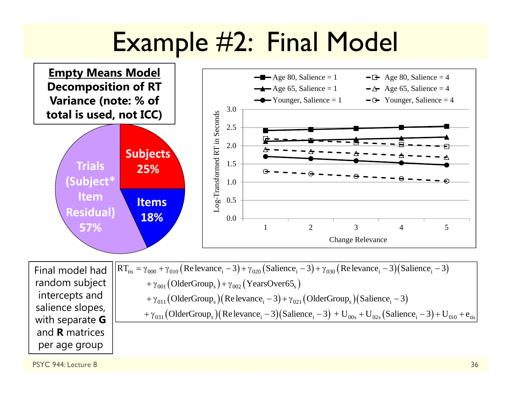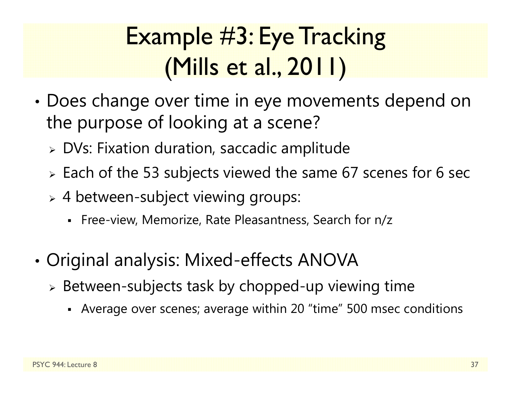#### Example #3: Eye Tracking (Mills et al., 2011)

- • Does change over time in eye movements depend on the purpose of looking at a scene?
	- $\triangleright$  DVs: Fixation duration, saccadic amplitude
	- $\triangleright$  Each of the 53 subjects viewed the same 67 scenes for 6 sec
	- 4 between-subject viewing groups:
		- Free-view, Memorize, Rate Pleasantness, Search for n/z
- • Original analysis: Mixed-effects ANOVA
	- $\triangleright$  Between-subjects task by chopped-up viewing time
		- Average over scenes; average within 20 "time" 500 msec conditions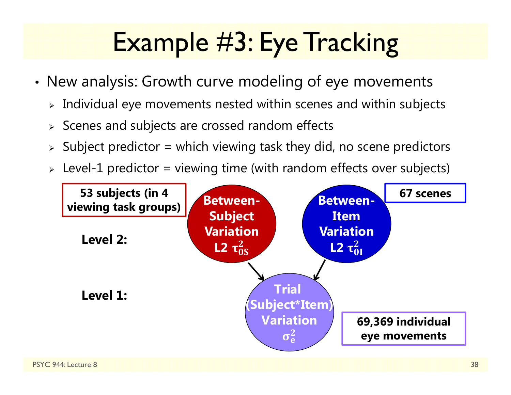## Example #3: Eye Tracking

- • New analysis: Growth curve modeling of eye movements
	- $\triangleright$  Individual eye movements nested within scenes and within subjects
	- $\triangleright$  Scenes and subjects are crossed random effects
	- $\triangleright$  Subject predictor = which viewing task they did, no scene predictors
	- $\triangleright$  Level-1 predictor = viewing time (with random effects over subjects)

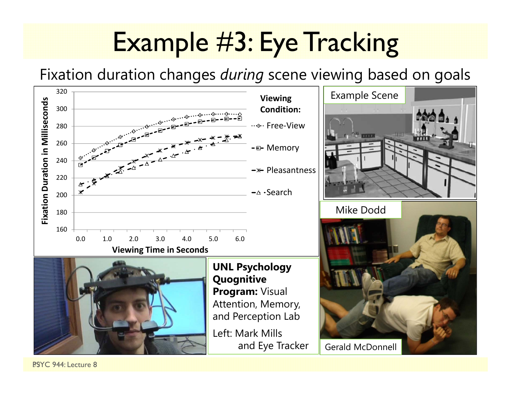### Example #3: Eye Tracking

Fixation duration changes *during* scene viewing based on goals



BSYC 944: Lecture 8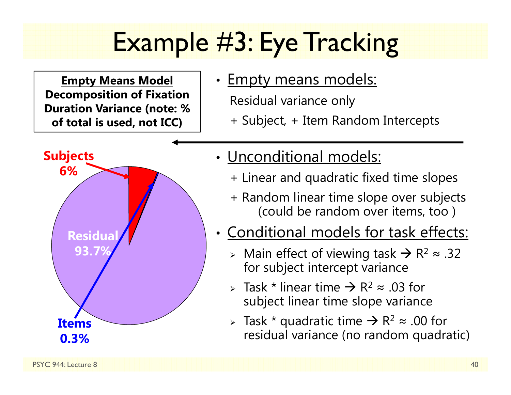## Example #3: Eye Tracking

**Empty Means Model Decomposition of Fixation Duration Variance (note: % of total is used, not ICC)**



#### •• <u>Empty means models:</u>

Residual variance only

+ Subject, + Item Random Intercepts

- Unconditional models:
	- + Linear and quadratic fixed time slopes
	- + Random linear time slope over subjects (could be random over items, too )
- Conditional models for task effects:
	- > Main effect of viewing task  $\rightarrow$  R<sup>2</sup> ≈ .32 for subject intercept variance
	- > Task \* linear time  $\rightarrow$  R<sup>2</sup>  $\approx$  .03 for subject linear time slope variance
	- > Task \* quadratic time  $\rightarrow$  R<sup>2</sup>  $\approx$  .00 for residual variance (no random quadratic)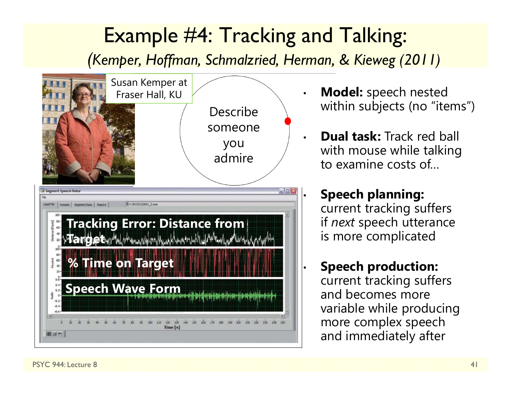#### Example #4: Tracking and Talking:

*(Kemper, Hoffman, Schmalzried, Herman, & Kieweg (2011)*

•

•

•



- **Model:** speech nested within subjects (no "items")
- **Dual task:** Track red ball with mouse while talking to examine costs of…

#### **Speech planning:**  current tracking suffers if *next* speech utterance is more complicated

• **Speech production:** current tracking suffers and becomes more variable while producing more complex speech and immediately after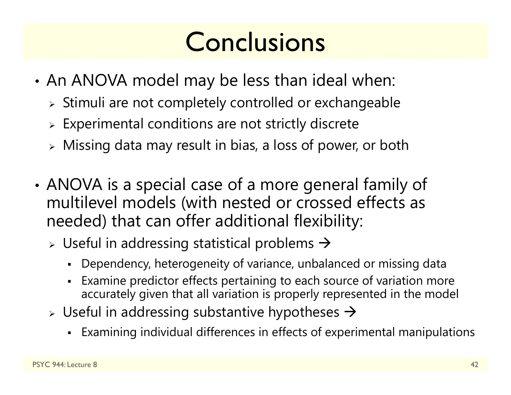### **Conclusions**

- • An ANOVA model may be less than ideal when:
	- $\triangleright$  Stimuli are not completely controlled or exchangeable
	- $\triangleright$  Experimental conditions are not strictly discrete
	- $\triangleright$  Missing data may result in bias, a loss of power, or both
- • ANOVA is a special case of a more general family of multilevel models (with nested or crossed effects as needed) that can offer additional flexibility:
	- $\triangleright$  Useful in addressing statistical problems  $\rightarrow$ 
		- Dependency, heterogeneity of variance, unbalanced or missing data
		- Examine predictor effects pertaining to each source of variation more accurately given that all variation is properly represented in the model
	- $\triangleright$  Useful in addressing substantive hypotheses  $\rightarrow$ 
		- Examining individual differences in effects of experimental manipulations